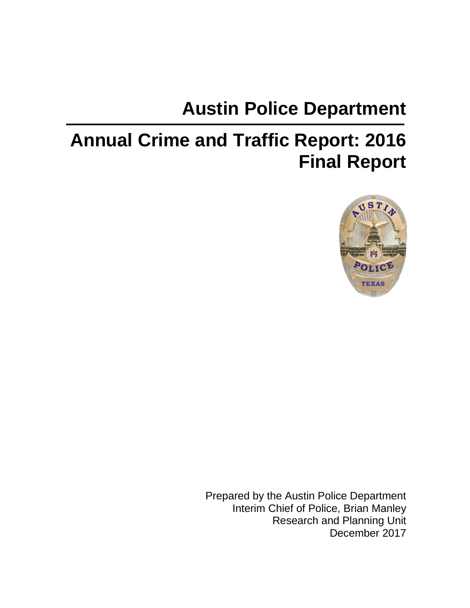# **Austin Police Department**

# **Annual Crime and Traffic Report: 2016 Final Report**



Prepared by the Austin Police Department Interim Chief of Police, Brian Manley Research and Planning Unit December 2017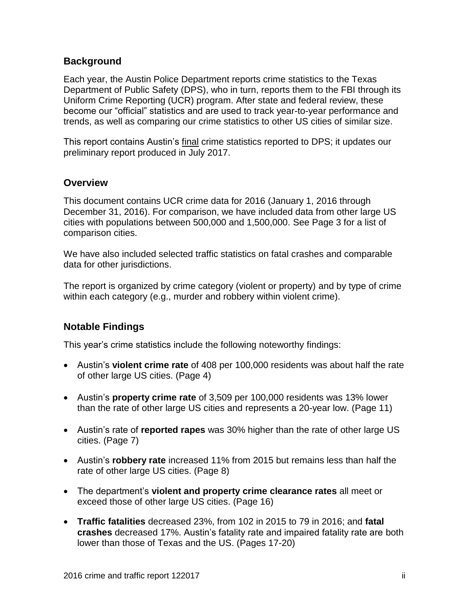#### **Background**

Each year, the Austin Police Department reports crime statistics to the Texas Department of Public Safety (DPS), who in turn, reports them to the FBI through its Uniform Crime Reporting (UCR) program. After state and federal review, these become our "official" statistics and are used to track year-to-year performance and trends, as well as comparing our crime statistics to other US cities of similar size.

This report contains Austin's final crime statistics reported to DPS; it updates our preliminary report produced in July 2017.

#### **Overview**

This document contains UCR crime data for 2016 (January 1, 2016 through December 31, 2016). For comparison, we have included data from other large US cities with populations between 500,000 and 1,500,000. See Page 3 for a list of comparison cities.

We have also included selected traffic statistics on fatal crashes and comparable data for other jurisdictions.

The report is organized by crime category (violent or property) and by type of crime within each category (e.g., murder and robbery within violent crime).

#### **Notable Findings**

This year's crime statistics include the following noteworthy findings:

- Austin's **violent crime rate** of 408 per 100,000 residents was about half the rate of other large US cities. (Page 4)
- Austin's **property crime rate** of 3,509 per 100,000 residents was 13% lower than the rate of other large US cities and represents a 20-year low. (Page 11)
- Austin's rate of **reported rapes** was 30% higher than the rate of other large US cities. (Page 7)
- Austin's **robbery rate** increased 11% from 2015 but remains less than half the rate of other large US cities. (Page 8)
- The department's **violent and property crime clearance rates** all meet or exceed those of other large US cities. (Page 16)
- **Traffic fatalities** decreased 23%, from 102 in 2015 to 79 in 2016; and **fatal crashes** decreased 17%. Austin's fatality rate and impaired fatality rate are both lower than those of Texas and the US. (Pages 17-20)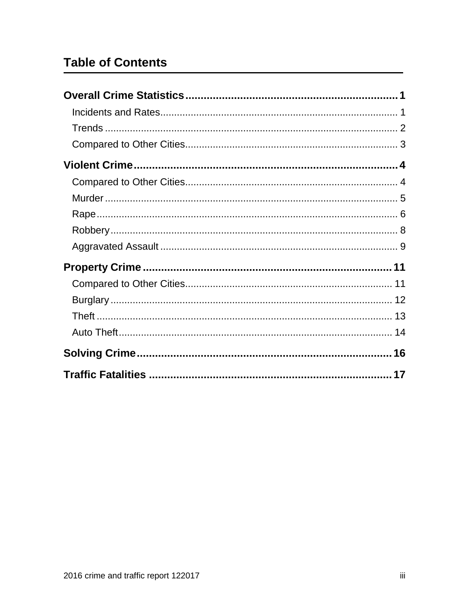# **Table of Contents**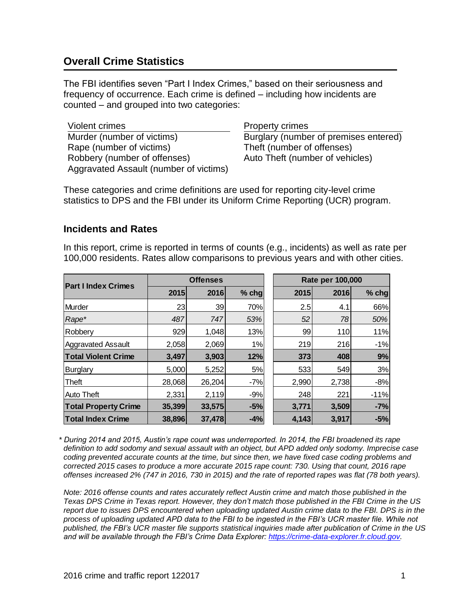# <span id="page-3-0"></span>**Overall Crime Statistics**

The FBI identifies seven "Part I Index Crimes," based on their seriousness and frequency of occurrence. Each crime is defined – including how incidents are counted – and grouped into two categories:

Violent crimes **Property crimes** Murder (number of victims) Burglary (number of premises entered) Rape (number of victims) Theft (number of offenses) Robbery (number of offenses) Auto Theft (number of vehicles) Aggravated Assault (number of victims)

These categories and crime definitions are used for reporting city-level crime statistics to DPS and the FBI under its Uniform Crime Reporting (UCR) program.

#### <span id="page-3-1"></span>**Incidents and Rates**

In this report, crime is reported in terms of counts (e.g., incidents) as well as rate per 100,000 residents. Rates allow comparisons to previous years and with other cities.

| <b>Part I Index Crimes</b>  | <b>Offenses</b> |        |         | Rate per 100,000 |       |         |  |
|-----------------------------|-----------------|--------|---------|------------------|-------|---------|--|
|                             | 2015            | 2016   | $%$ chg | 2015             | 2016  | $%$ chg |  |
| Murder                      | 23              | 39     | 70%     | 2.5              | 4.1   | 66%     |  |
| Rape*                       | 487             | 747    | 53%     | 52               | 78    | 50%     |  |
| Robbery                     | 929             | 1,048  | 13%     | 99               | 110   | 11%     |  |
| <b>Aggravated Assault</b>   | 2,058           | 2,069  | 1%      | 219              | 216   | $-1%$   |  |
| <b>Total Violent Crime</b>  | 3,497           | 3,903  | 12%     | 373              | 408   | 9%      |  |
| <b>Burglary</b>             | 5,000           | 5,252  | 5%      | 533              | 549   | 3%      |  |
| <b>Theft</b>                | 28,068          | 26,204 | $-7%$   | 2,990            | 2,738 | $-8%$   |  |
| <b>Auto Theft</b>           | 2,331           | 2,119  | $-9%$   | 248              | 221   | $-11%$  |  |
| <b>Total Property Crime</b> | 35,399          | 33,575 | $-5%$   | 3,771            | 3,509 | $-7%$   |  |
| <b>Total Index Crime</b>    | 38,896          | 37,478 | $-4%$   | 4,143            | 3,917 | $-5%$   |  |

*\* During 2014 and 2015, Austin's rape count was underreported. In 2014, the FBI broadened its rape definition to add sodomy and sexual assault with an object, but APD added only sodomy. Imprecise case coding prevented accurate counts at the time, but since then, we have fixed case coding problems and corrected 2015 cases to produce a more accurate 2015 rape count: 730. Using that count, 2016 rape offenses increased 2% (747 in 2016, 730 in 2015) and the rate of reported rapes was flat (78 both years).* 

*Note: 2016 offense counts and rates accurately reflect Austin crime and match those published in the Texas DPS Crime in Texas report. However, they don't match those published in the FBI Crime in the US report due to issues DPS encountered when uploading updated Austin crime data to the FBI. DPS is in the process of uploading updated APD data to the FBI to be ingested in the FBI's UCR master file. While not published, the FBI's UCR master file supports statistical inquiries made after publication of Crime in the US and will be available through the FBI's Crime Data Explorer: [https://crime-data-explorer.fr.cloud.gov.](https://crime-data-explorer.fr.cloud.gov/)*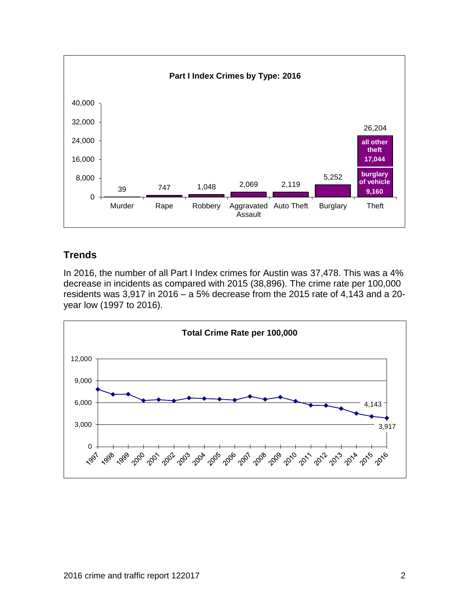

#### <span id="page-4-0"></span>**Trends**

In 2016, the number of all Part I Index crimes for Austin was 37,478. This was a 4% decrease in incidents as compared with 2015 (38,896). The crime rate per 100,000 residents was 3,917 in 2016 – a 5% decrease from the 2015 rate of 4,143 and a 20 year low (1997 to 2016).

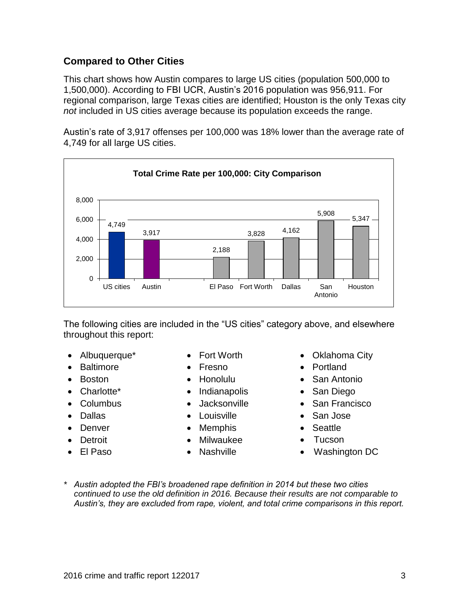#### <span id="page-5-0"></span>**Compared to Other Cities**

This chart shows how Austin compares to large US cities (population 500,000 to 1,500,000). According to FBI UCR, Austin's 2016 population was 956,911. For regional comparison, large Texas cities are identified; Houston is the only Texas city *not* included in US cities average because its population exceeds the range.

Austin's rate of 3,917 offenses per 100,000 was 18% lower than the average rate of 4,749 for all large US cities.



The following cities are included in the "US cities" category above, and elsewhere throughout this report:

- 
- Baltimore Fresno Portland
- 
- 
- 
- 
- 
- 
- 
- 
- 
- 
- Charlotte\* Indianapolis San Diego
	-
- Dallas Louisville San Jose
- Denver Memphis Seattle
- Detroit Milwaukee Tucson
	-
- Albuquerque\* Fort Worth Oklahoma City
	-
- Boston Honolulu San Antonio
	-
- Columbus Jacksonville San Francisco
	-
	-
	-
- El Paso Nashville Washington DC
- *\* Austin adopted the FBI's broadened rape definition in 2014 but these two cities continued to use the old definition in 2016. Because their results are not comparable to Austin's, they are excluded from rape, violent, and total crime comparisons in this report.*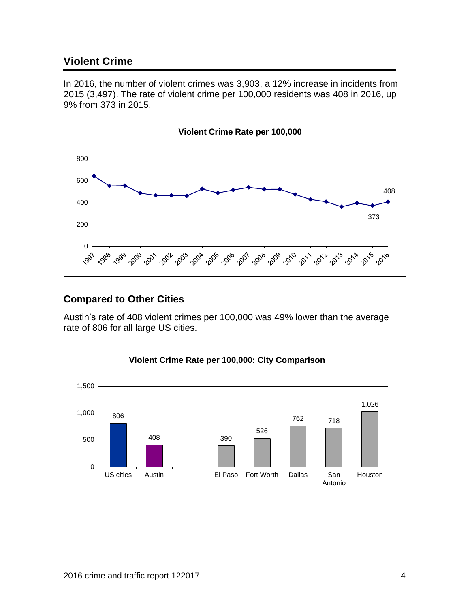# <span id="page-6-0"></span>**Violent Crime**

In 2016, the number of violent crimes was 3,903, a 12% increase in incidents from 2015 (3,497). The rate of violent crime per 100,000 residents was 408 in 2016, up 9% from 373 in 2015.



#### <span id="page-6-1"></span>**Compared to Other Cities**

Austin's rate of 408 violent crimes per 100,000 was 49% lower than the average rate of 806 for all large US cities.

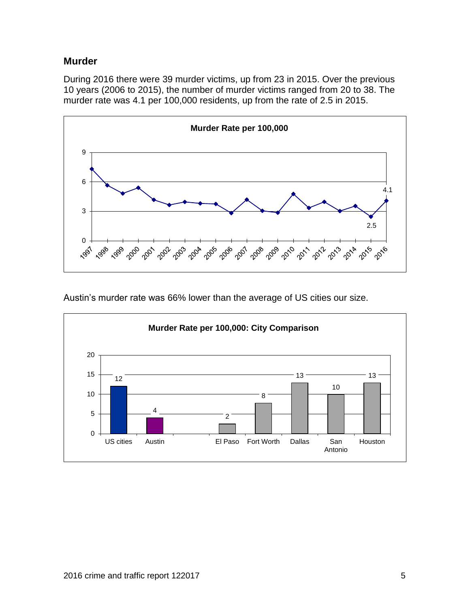#### <span id="page-7-0"></span>**Murder**

During 2016 there were 39 murder victims, up from 23 in 2015. Over the previous 10 years (2006 to 2015), the number of murder victims ranged from 20 to 38. The murder rate was 4.1 per 100,000 residents, up from the rate of 2.5 in 2015.



Austin's murder rate was 66% lower than the average of US cities our size.

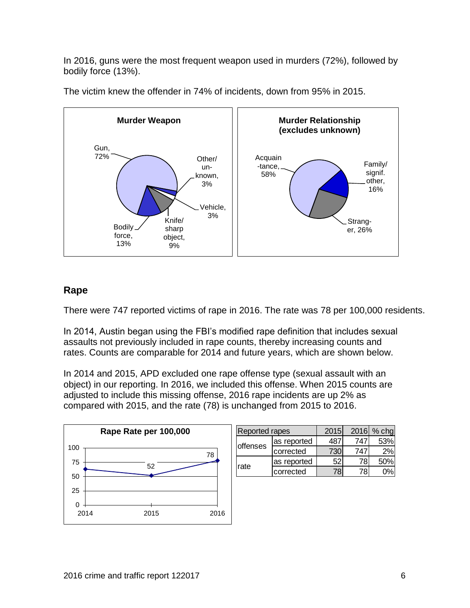In 2016, guns were the most frequent weapon used in murders (72%), followed by bodily force (13%).



The victim knew the offender in 74% of incidents, down from 95% in 2015.

#### <span id="page-8-0"></span>**Rape**

There were 747 reported victims of rape in 2016. The rate was 78 per 100,000 residents.

In 2014, Austin began using the FBI's modified rape definition that includes sexual assaults not previously included in rape counts, thereby increasing counts and rates. Counts are comparable for 2014 and future years, which are shown below.

In 2014 and 2015, APD excluded one rape offense type (sexual assault with an object) in our reporting. In 2016, we included this offense. When 2015 counts are adjusted to include this missing offense, 2016 rape incidents are up 2% as compared with 2015, and the rate (78) is unchanged from 2015 to 2016.



| <b>Reported rapes</b> |              | 2015 | 2016  | $%$ chg |
|-----------------------|--------------|------|-------|---------|
|                       | las reported |      | 74    | 53%     |
| offenses              | corrected    |      | 7 A T | 2%      |
|                       | as reported  | 52   | 78    | 50%     |
| rate                  | corrected    |      | 78    |         |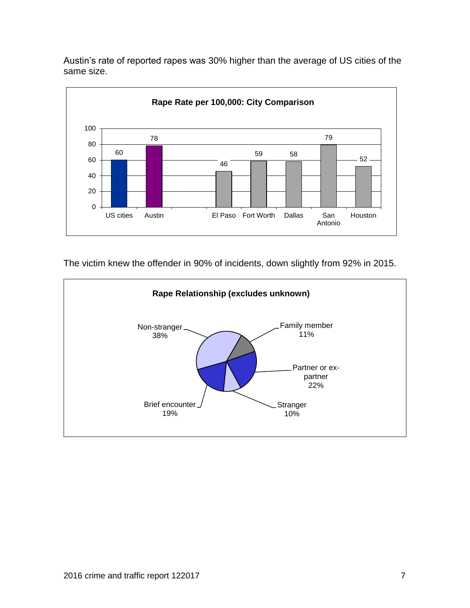Austin's rate of reported rapes was 30% higher than the average of US cities of the same size.



The victim knew the offender in 90% of incidents, down slightly from 92% in 2015.

<span id="page-9-0"></span>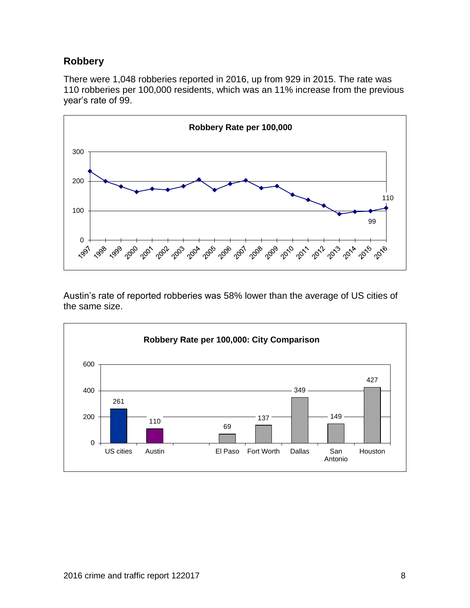### **Robbery**

There were 1,048 robberies reported in 2016, up from 929 in 2015. The rate was robberies per 100,000 residents, which was an 11% increase from the previous year's rate of 99.



Austin's rate of reported robberies was 58% lower than the average of US cities of the same size.

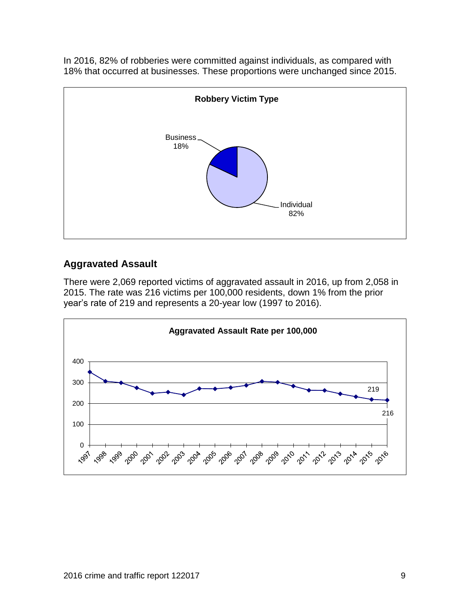In 2016, 82% of robberies were committed against individuals, as compared with 18% that occurred at businesses. These proportions were unchanged since 2015.



### <span id="page-11-0"></span>**Aggravated Assault**

There were 2,069 reported victims of aggravated assault in 2016, up from 2,058 in 2015. The rate was 216 victims per 100,000 residents, down 1% from the prior year's rate of 219 and represents a 20-year low (1997 to 2016).

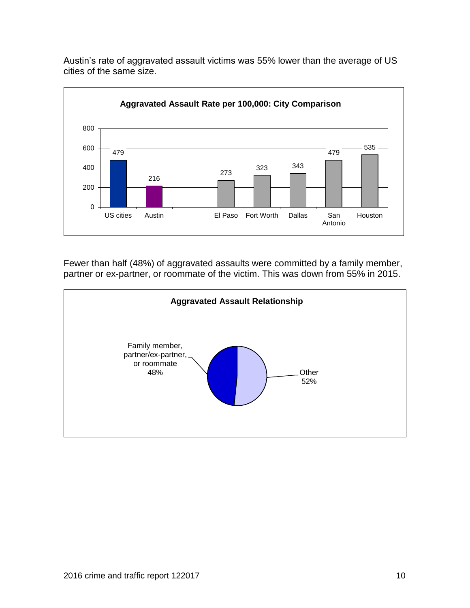

Austin's rate of aggravated assault victims was 55% lower than the average of US cities of the same size.

Fewer than half (48%) of aggravated assaults were committed by a family member, partner or ex-partner, or roommate of the victim. This was down from 55% in 2015.

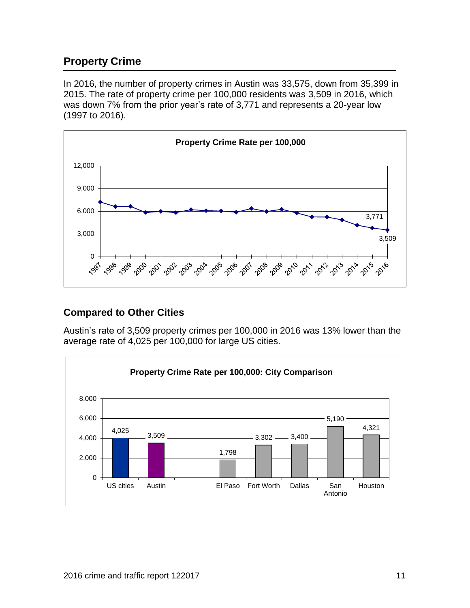# <span id="page-13-0"></span>**Property Crime**

In 2016, the number of property crimes in Austin was 33,575, down from 35,399 in 2015. The rate of property crime per 100,000 residents was 3,509 in 2016, which was down 7% from the prior year's rate of 3,771 and represents a 20-year low (1997 to 2016).



#### <span id="page-13-1"></span>**Compared to Other Cities**

Austin's rate of 3,509 property crimes per 100,000 in 2016 was 13% lower than the average rate of 4,025 per 100,000 for large US cities.

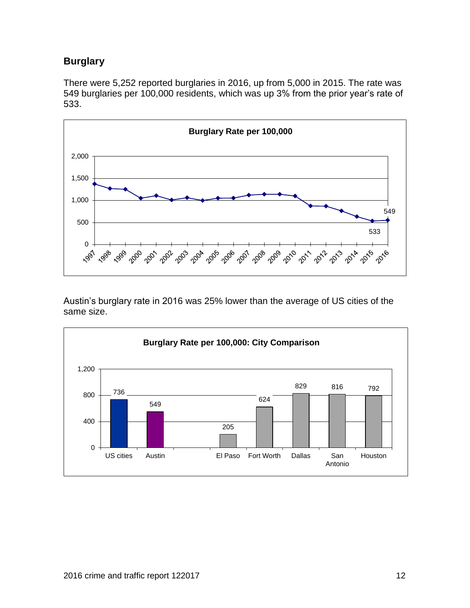# <span id="page-14-0"></span>**Burglary**

There were 5,252 reported burglaries in 2016, up from 5,000 in 2015. The rate was 549 burglaries per 100,000 residents, which was up 3% from the prior year's rate of 533.



Austin's burglary rate in 2016 was 25% lower than the average of US cities of the same size.

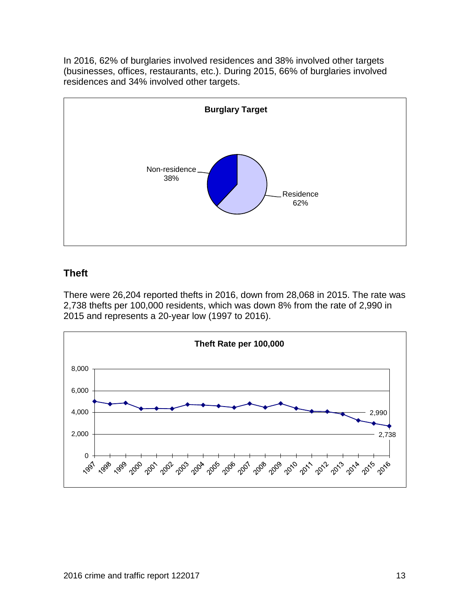In 2016, 62% of burglaries involved residences and 38% involved other targets (businesses, offices, restaurants, etc.). During 2015, 66% of burglaries involved residences and 34% involved other targets.



#### <span id="page-15-0"></span>**Theft**

There were 26,204 reported thefts in 2016, down from 28,068 in 2015. The rate was 2,738 thefts per 100,000 residents, which was down 8% from the rate of 2,990 in 2015 and represents a 20-year low (1997 to 2016).

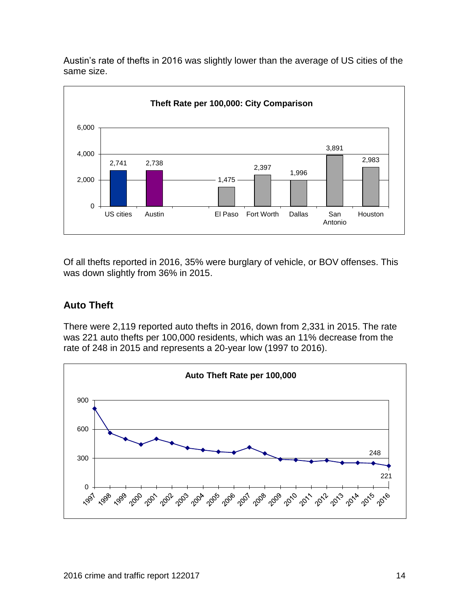Austin's rate of thefts in 2016 was slightly lower than the average of US cities of the same size.



Of all thefts reported in 2016, 35% were burglary of vehicle, or BOV offenses. This was down slightly from 36% in 2015.

#### <span id="page-16-0"></span>**Auto Theft**

There were 2,119 reported auto thefts in 2016, down from 2,331 in 2015. The rate was 221 auto thefts per 100,000 residents, which was an 11% decrease from the rate of 248 in 2015 and represents a 20-year low (1997 to 2016).

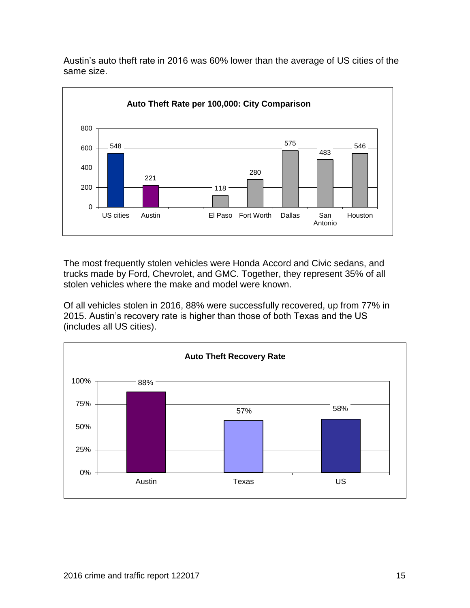Austin's auto theft rate in 2016 was 60% lower than the average of US cities of the same size.



The most frequently stolen vehicles were Honda Accord and Civic sedans, and trucks made by Ford, Chevrolet, and GMC. Together, they represent 35% of all stolen vehicles where the make and model were known.

Of all vehicles stolen in 2016, 88% were successfully recovered, up from 77% in 2015. Austin's recovery rate is higher than those of both Texas and the US (includes all US cities).

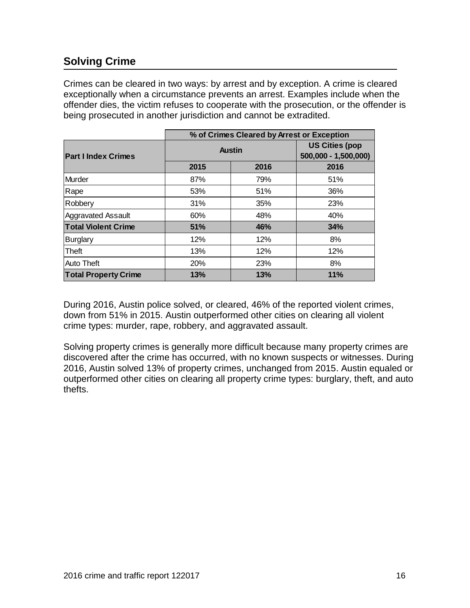# <span id="page-18-0"></span>**Solving Crime**

Crimes can be cleared in two ways: by arrest and by exception. A crime is cleared exceptionally when a circumstance prevents an arrest. Examples include when the offender dies, the victim refuses to cooperate with the prosecution, or the offender is being prosecuted in another jurisdiction and cannot be extradited.

|                             | % of Crimes Cleared by Arrest or Exception |                                               |      |  |  |
|-----------------------------|--------------------------------------------|-----------------------------------------------|------|--|--|
| <b>Part I Index Crimes</b>  | <b>Austin</b>                              | <b>US Cities (pop</b><br>500,000 - 1,500,000) |      |  |  |
|                             | 2015                                       | 2016                                          | 2016 |  |  |
| Murder                      | 87%                                        | 79%                                           | 51%  |  |  |
| Rape                        | 53%                                        | 51%                                           | 36%  |  |  |
| Robbery                     | 31%                                        | 35%                                           | 23%  |  |  |
| <b>Aggravated Assault</b>   | 60%                                        | 48%                                           | 40%  |  |  |
| <b>Total Violent Crime</b>  | 51%                                        | 46%                                           | 34%  |  |  |
| <b>Burglary</b>             | 12%                                        | 12%                                           | 8%   |  |  |
| <b>Theft</b>                | 13%                                        | 12%                                           | 12%  |  |  |
| <b>Auto Theft</b>           | 20%                                        | 23%                                           | 8%   |  |  |
| <b>Total Property Crime</b> | 13%                                        | 13%                                           | 11%  |  |  |

During 2016, Austin police solved, or cleared, 46% of the reported violent crimes, down from 51% in 2015. Austin outperformed other cities on clearing all violent crime types: murder, rape, robbery, and aggravated assault.

Solving property crimes is generally more difficult because many property crimes are discovered after the crime has occurred, with no known suspects or witnesses. During 2016, Austin solved 13% of property crimes, unchanged from 2015. Austin equaled or outperformed other cities on clearing all property crime types: burglary, theft, and auto thefts.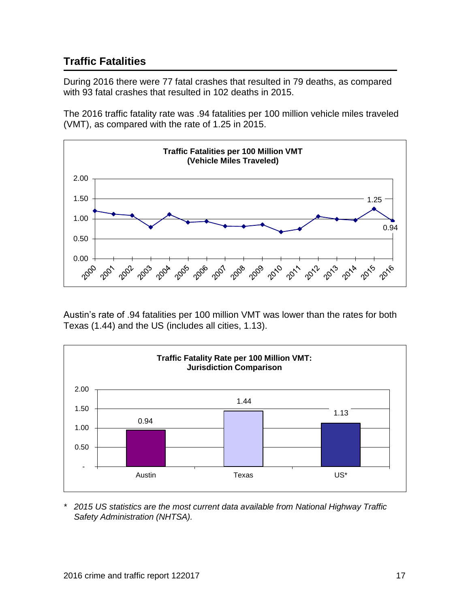# <span id="page-19-0"></span>**Traffic Fatalities**

During 2016 there were 77 fatal crashes that resulted in 79 deaths, as compared with 93 fatal crashes that resulted in 102 deaths in 2015.

The 2016 traffic fatality rate was .94 fatalities per 100 million vehicle miles traveled (VMT), as compared with the rate of 1.25 in 2015.



Austin's rate of .94 fatalities per 100 million VMT was lower than the rates for both Texas (1.44) and the US (includes all cities, 1.13).



*\* 2015 US statistics are the most current data available from National Highway Traffic Safety Administration (NHTSA).*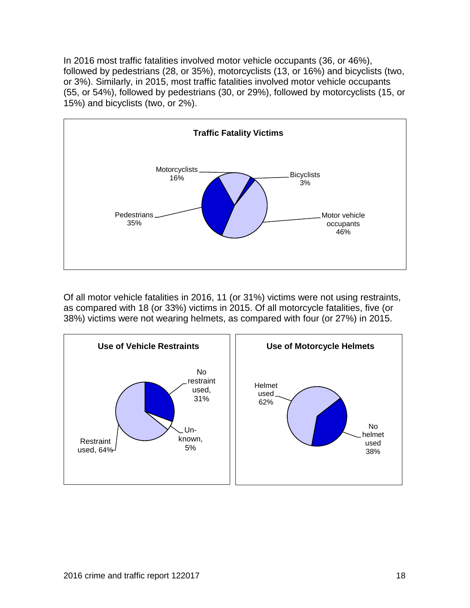In 2016 most traffic fatalities involved motor vehicle occupants (36, or 46%), followed by pedestrians (28, or 35%), motorcyclists (13, or 16%) and bicyclists (two, or 3%). Similarly, in 2015, most traffic fatalities involved motor vehicle occupants (55, or 54%), followed by pedestrians (30, or 29%), followed by motorcyclists (15, or 15%) and bicyclists (two, or 2%).



Of all motor vehicle fatalities in 2016, 11 (or 31%) victims were not using restraints, as compared with 18 (or 33%) victims in 2015. Of all motorcycle fatalities, five (or 38%) victims were not wearing helmets, as compared with four (or 27%) in 2015.

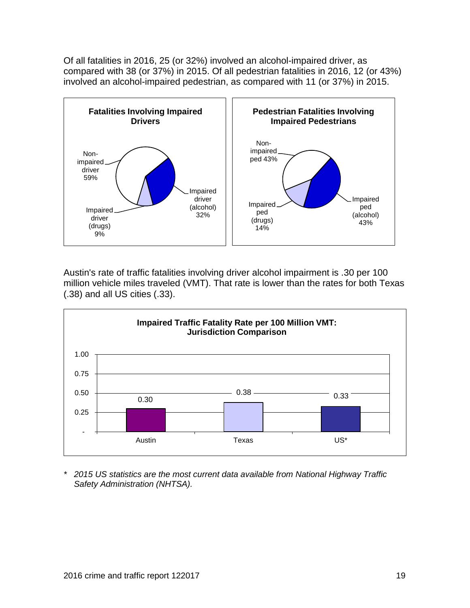Of all fatalities in 2016, 25 (or 32%) involved an alcohol-impaired driver, as compared with 38 (or 37%) in 2015. Of all pedestrian fatalities in 2016, 12 (or 43%) involved an alcohol-impaired pedestrian, as compared with 11 (or 37%) in 2015.



Austin's rate of traffic fatalities involving driver alcohol impairment is .30 per 100 million vehicle miles traveled (VMT). That rate is lower than the rates for both Texas (.38) and all US cities (.33).



*\* 2015 US statistics are the most current data available from National Highway Traffic Safety Administration (NHTSA).*